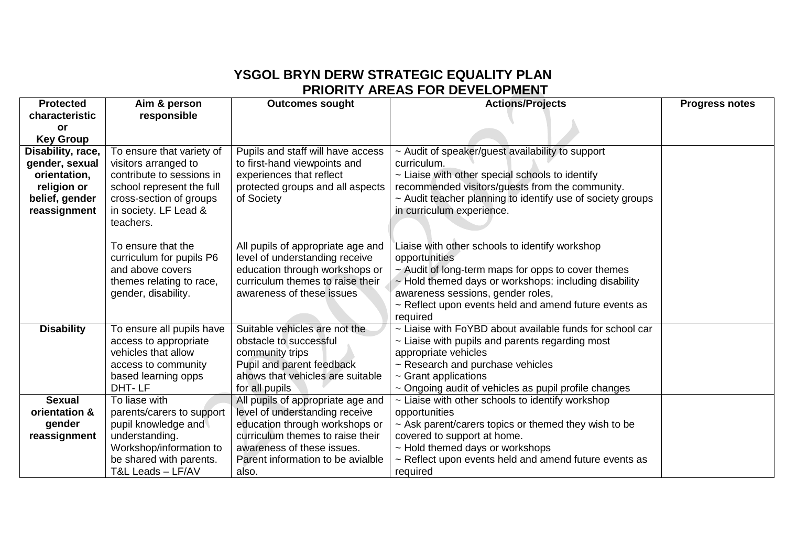## **YSGOL BRYN DERW STRATEGIC EQUALITY PLAN PRIORITY AREAS FOR DEVELOPMENT**

| <b>Protected</b>               | Aim & person                                                                                                           | <b>Outcomes sought</b>                                                                                                      | <b>Actions/Projects</b>                                                                                       | <b>Progress notes</b> |
|--------------------------------|------------------------------------------------------------------------------------------------------------------------|-----------------------------------------------------------------------------------------------------------------------------|---------------------------------------------------------------------------------------------------------------|-----------------------|
| characteristic                 | responsible                                                                                                            |                                                                                                                             |                                                                                                               |                       |
| or                             |                                                                                                                        |                                                                                                                             |                                                                                                               |                       |
| <b>Key Group</b>               |                                                                                                                        |                                                                                                                             |                                                                                                               |                       |
| Disability, race,              | To ensure that variety of                                                                                              |                                                                                                                             | Pupils and staff will have access<br>~ Audit of speaker/guest availability to support<br>curriculum.          |                       |
| gender, sexual<br>orientation, | visitors arranged to<br>contribute to sessions in                                                                      | to first-hand viewpoints and<br>experiences that reflect                                                                    |                                                                                                               |                       |
| religion or                    | school represent the full                                                                                              | protected groups and all aspects                                                                                            |                                                                                                               |                       |
| belief, gender                 | cross-section of groups                                                                                                | recommended visitors/guests from the community.<br>~ Audit teacher planning to identify use of society groups<br>of Society |                                                                                                               |                       |
| reassignment                   | in society. LF Lead &                                                                                                  | in curriculum experience.                                                                                                   |                                                                                                               |                       |
|                                | teachers.                                                                                                              |                                                                                                                             |                                                                                                               |                       |
|                                |                                                                                                                        |                                                                                                                             |                                                                                                               |                       |
|                                | To ensure that the                                                                                                     | All pupils of appropriate age and                                                                                           | Liaise with other schools to identify workshop                                                                |                       |
|                                | curriculum for pupils P6                                                                                               | level of understanding receive                                                                                              | opportunities                                                                                                 |                       |
|                                | and above covers                                                                                                       | education through workshops or                                                                                              | $\sim$ Audit of long-term maps for opps to cover themes                                                       |                       |
|                                | themes relating to race,                                                                                               | curriculum themes to raise their                                                                                            | $\sim$ Hold themed days or workshops: including disability                                                    |                       |
|                                | gender, disability.                                                                                                    | awareness of these issues                                                                                                   | awareness sessions, gender roles,                                                                             |                       |
|                                |                                                                                                                        |                                                                                                                             | $\sim$ Reflect upon events held and amend future events as                                                    |                       |
|                                |                                                                                                                        |                                                                                                                             | required                                                                                                      |                       |
| <b>Disability</b>              | Suitable vehicles are not the<br>~ Liaise with FoYBD about available funds for school car<br>To ensure all pupils have |                                                                                                                             |                                                                                                               |                       |
|                                | access to appropriate                                                                                                  | obstacle to successful                                                                                                      | $\sim$ Liaise with pupils and parents regarding most                                                          |                       |
|                                | vehicles that allow                                                                                                    | community trips                                                                                                             | appropriate vehicles                                                                                          |                       |
|                                | access to community                                                                                                    | Pupil and parent feedback                                                                                                   | $\sim$ Research and purchase vehicles                                                                         |                       |
|                                | based learning opps<br>DHT-LF                                                                                          | ahows that vehicles are suitable<br>for all pupils                                                                          | $\sim$ Grant applications                                                                                     |                       |
| <b>Sexual</b>                  | To liase with                                                                                                          | All pupils of appropriate age and                                                                                           | ~ Ongoing audit of vehicles as pupil profile changes<br>$\sim$ Liaise with other schools to identify workshop |                       |
| orientation &                  | parents/carers to support                                                                                              | level of understanding receive                                                                                              | opportunities                                                                                                 |                       |
| gender                         | pupil knowledge and                                                                                                    | education through workshops or                                                                                              | ~ Ask parent/carers topics or themed they wish to be                                                          |                       |
| reassignment                   | understanding.                                                                                                         | curriculum themes to raise their                                                                                            | covered to support at home.                                                                                   |                       |
|                                | Workshop/information to                                                                                                | awareness of these issues.                                                                                                  | ~ Hold themed days or workshops                                                                               |                       |
|                                | be shared with parents.                                                                                                | Parent information to be avialble                                                                                           | $\sim$ Reflect upon events held and amend future events as                                                    |                       |
|                                | T&L Leads - LF/AV                                                                                                      | also.                                                                                                                       | required                                                                                                      |                       |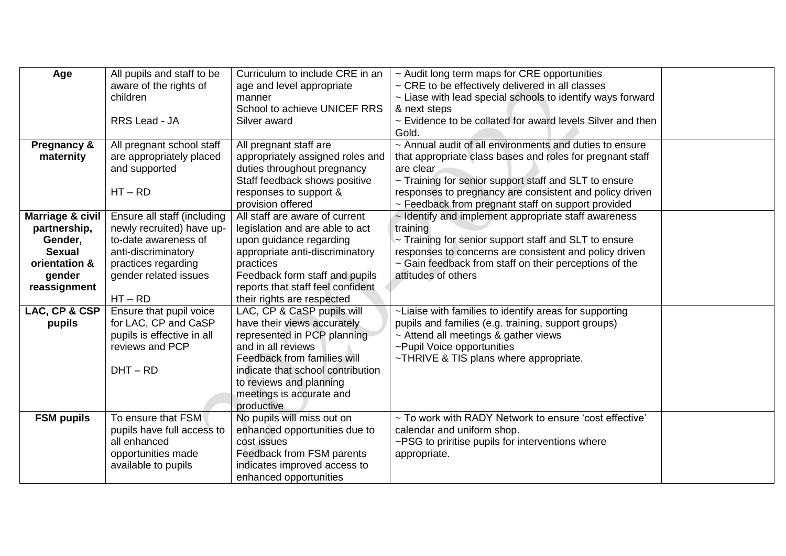| Age                      | All pupils and staff to be  | Curriculum to include CRE in an                                                             | ~ Audit long term maps for CRE opportunities               |  |  |
|--------------------------|-----------------------------|---------------------------------------------------------------------------------------------|------------------------------------------------------------|--|--|
|                          | aware of the rights of      | age and level appropriate                                                                   | ~ CRE to be effectively delivered in all classes           |  |  |
|                          | children                    | manner                                                                                      | ~ Liase with lead special schools to identify ways forward |  |  |
|                          |                             | School to achieve UNICEF RRS                                                                | & next steps                                               |  |  |
|                          | RRS Lead - JA               | Silver award                                                                                | ~ Evidence to be collated for award levels Silver and then |  |  |
|                          |                             |                                                                                             | Gold.                                                      |  |  |
| <b>Pregnancy &amp;</b>   | All pregnant school staff   | All pregnant staff are                                                                      | ~ Annual audit of all environments and duties to ensure    |  |  |
| maternity                | are appropriately placed    | appropriately assigned roles and                                                            | that appropriate class bases and roles for pregnant staff  |  |  |
|                          | and supported               | duties throughout pregnancy                                                                 | are clear                                                  |  |  |
|                          |                             | Staff feedback shows positive                                                               | ~ Training for senior support staff and SLT to ensure      |  |  |
|                          | $HT - RD$                   | responses to support &                                                                      | responses to pregnancy are consistent and policy driven    |  |  |
|                          |                             | provision offered                                                                           | ~ Feedback from pregnant staff on support provided         |  |  |
| Marriage & civil         | Ensure all staff (including | All staff are aware of current<br>$\sim$ Identify and implement appropriate staff awareness |                                                            |  |  |
| partnership,             | newly recruited) have up-   | training<br>legislation and are able to act                                                 |                                                            |  |  |
| Gender,                  | to-date awareness of        | upon guidance regarding<br>~ Training for senior support staff and SLT to ensure            |                                                            |  |  |
| <b>Sexual</b>            | anti-discriminatory         | appropriate anti-discriminatory                                                             | responses to concerns are consistent and policy driven     |  |  |
| orientation &            | practices regarding         | practices                                                                                   | ~ Gain feedback from staff on their perceptions of the     |  |  |
| gender                   | gender related issues       | Feedback form staff and pupils                                                              | attitudes of others                                        |  |  |
| reassignment             |                             | reports that staff feel confident                                                           |                                                            |  |  |
|                          | $HT - RD$                   | their rights are respected                                                                  |                                                            |  |  |
| <b>LAC, CP &amp; CSP</b> | Ensure that pupil voice     | LAC, CP & CaSP pupils will                                                                  | ~Liaise with families to identify areas for supporting     |  |  |
| pupils                   | for LAC, CP and CaSP        | have their views accurately                                                                 | pupils and families (e.g. training, support groups)        |  |  |
|                          | pupils is effective in all  | represented in PCP planning                                                                 | ~ Attend all meetings & gather views                       |  |  |
|                          | reviews and PCP             | and in all reviews                                                                          | ~Pupil Voice opportunities                                 |  |  |
|                          |                             | Feedback from families will                                                                 | ~THRIVE & TIS plans where appropriate.                     |  |  |
|                          | $DHT - RD$                  | indicate that school contribution                                                           |                                                            |  |  |
|                          |                             | to reviews and planning                                                                     |                                                            |  |  |
|                          |                             | meetings is accurate and                                                                    |                                                            |  |  |
|                          |                             | productive                                                                                  |                                                            |  |  |
| <b>FSM pupils</b>        | To ensure that FSM          | No pupils will miss out on                                                                  | ~ To work with RADY Network to ensure 'cost effective'     |  |  |
|                          | pupils have full access to  | enhanced opportunities due to                                                               | calendar and uniform shop.                                 |  |  |
|                          | all enhanced                | cost issues                                                                                 | ~PSG to priritise pupils for interventions where           |  |  |
|                          | opportunities made          | Feedback from FSM parents                                                                   | appropriate.                                               |  |  |
|                          | available to pupils         | indicates improved access to                                                                |                                                            |  |  |
|                          |                             | enhanced opportunities                                                                      |                                                            |  |  |